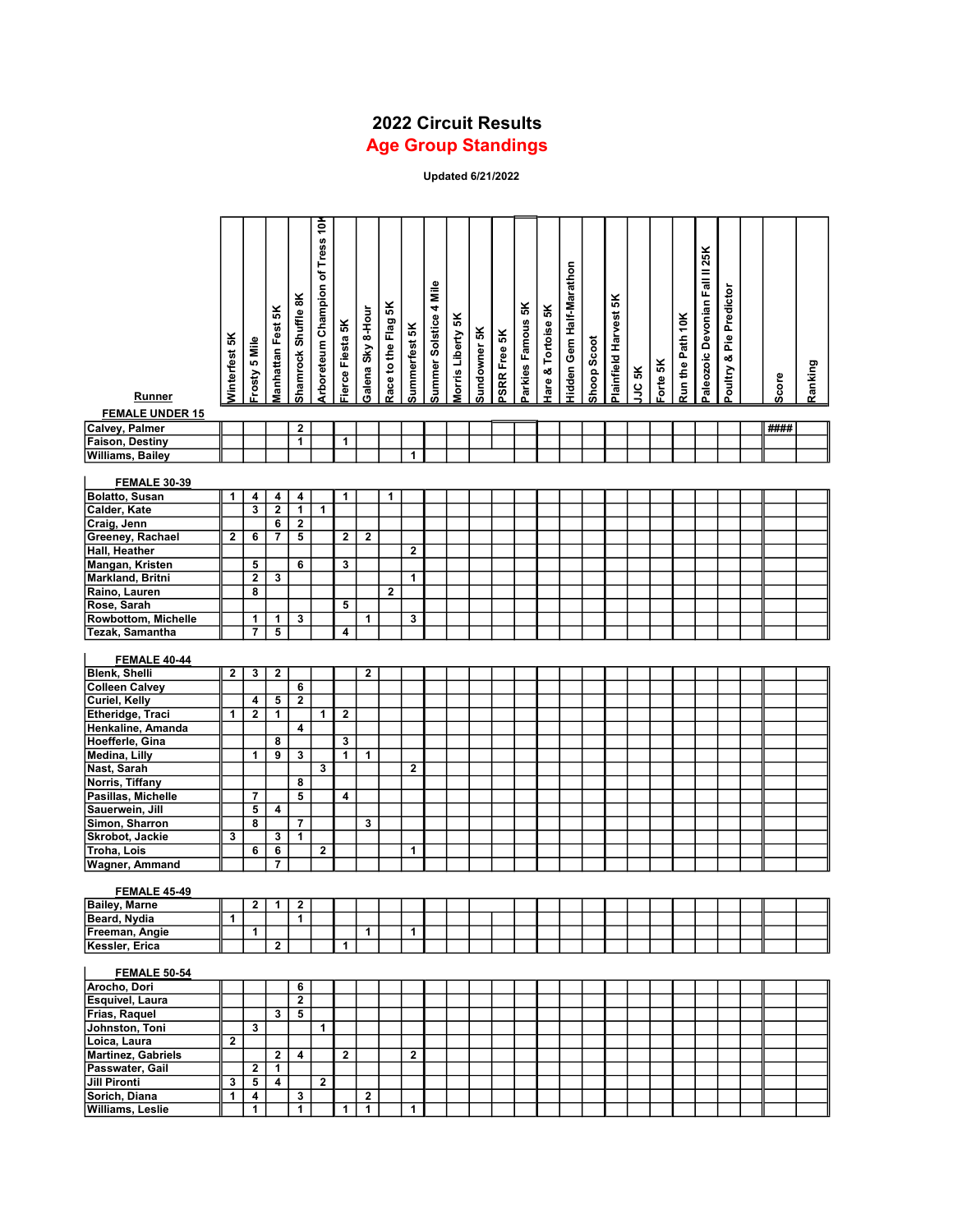## 2022 Circuit Results Age Group Standings

Updated 6/21/2022

|                                          |                |                          |                         |                                         | Arboreteum Champion of Tress 10 |                         |                   |                     |                         |                        |                   |              |              |                   |                               |                          |             |                       |        |          |                  |                                |                         |       |         |
|------------------------------------------|----------------|--------------------------|-------------------------|-----------------------------------------|---------------------------------|-------------------------|-------------------|---------------------|-------------------------|------------------------|-------------------|--------------|--------------|-------------------|-------------------------------|--------------------------|-------------|-----------------------|--------|----------|------------------|--------------------------------|-------------------------|-------|---------|
|                                          |                |                          |                         |                                         |                                 |                         |                   |                     |                         |                        |                   |              |              |                   |                               |                          |             |                       |        |          |                  |                                |                         |       |         |
|                                          |                |                          |                         |                                         |                                 |                         |                   |                     |                         |                        |                   |              |              |                   |                               |                          |             |                       |        |          |                  | Paleozoic Devonian Fall II 25K |                         |       |         |
|                                          |                |                          |                         |                                         |                                 |                         |                   |                     |                         |                        |                   |              |              |                   |                               | Hidden Gem Half-Marathon |             |                       |        |          |                  |                                |                         |       |         |
|                                          |                |                          |                         |                                         |                                 |                         |                   |                     |                         |                        |                   |              |              |                   |                               |                          |             |                       |        |          |                  |                                |                         |       |         |
|                                          |                |                          |                         | Shamrock Shuffle 8K                     |                                 |                         |                   | Race to the Flag 5K |                         | Summer Solstice 4 Mile |                   |              |              | Parkies Famous 5K |                               |                          |             | Plainfield Harvest 5K |        |          |                  |                                | Poultry & Pie Predictor |       |         |
|                                          |                |                          |                         |                                         |                                 |                         |                   |                     |                         |                        |                   |              |              |                   |                               |                          |             |                       |        |          |                  |                                |                         |       |         |
|                                          |                |                          |                         |                                         |                                 |                         |                   |                     |                         |                        |                   |              |              |                   |                               |                          |             |                       |        |          |                  |                                |                         |       |         |
|                                          |                |                          |                         |                                         |                                 |                         |                   |                     |                         |                        |                   |              |              |                   |                               |                          |             |                       |        |          |                  |                                |                         |       |         |
|                                          |                |                          |                         |                                         |                                 |                         |                   |                     |                         |                        |                   |              |              |                   |                               |                          |             |                       |        |          |                  |                                |                         |       |         |
|                                          | Winterfest 5K  | Frosty 5 Mile            | Manhattan Fest 5K       |                                         |                                 | Fierce Fiesta 5K        | Galena Sky 8-Hour |                     | Summerfest 5K           |                        | Morris Liberty 5K | Sundowner 5K | PSRR Free 5K |                   | <b>Hare &amp; Tortoise 5K</b> |                          | Shoop Scoot |                       | JJC 5K | Forte 5K | Run the Path 10K |                                |                         | Score | Ranking |
| Runner                                   |                |                          |                         |                                         |                                 |                         |                   |                     |                         |                        |                   |              |              |                   |                               |                          |             |                       |        |          |                  |                                |                         |       |         |
| <b>FEMALE UNDER 15</b>                   |                |                          |                         |                                         |                                 |                         |                   |                     |                         |                        |                   |              |              |                   |                               |                          |             |                       |        |          |                  |                                |                         |       |         |
| Calvey, Palmer<br><b>Faison, Destiny</b> |                |                          |                         | $\mathbf{2}$<br>$\mathbf{1}$            |                                 | $\mathbf{1}$            |                   |                     |                         |                        |                   |              |              |                   |                               |                          |             |                       |        |          |                  |                                |                         | ####  |         |
| <b>Williams, Bailey</b>                  |                |                          |                         |                                         |                                 |                         |                   |                     | 1                       |                        |                   |              |              |                   |                               |                          |             |                       |        |          |                  |                                |                         |       |         |
|                                          |                |                          |                         |                                         |                                 |                         |                   |                     |                         |                        |                   |              |              |                   |                               |                          |             |                       |        |          |                  |                                |                         |       |         |
| <b>FEMALE 30-39</b>                      |                |                          |                         |                                         |                                 |                         |                   |                     |                         |                        |                   |              |              |                   |                               |                          |             |                       |        |          |                  |                                |                         |       |         |
| <b>Bolatto, Susan</b>                    | 1              | $\overline{\mathbf{4}}$  | $\overline{\mathbf{r}}$ | $\overline{\mathbf{r}}$                 |                                 | 1                       |                   | 1                   |                         |                        |                   |              |              |                   |                               |                          |             |                       |        |          |                  |                                |                         |       |         |
| Calder, Kate                             |                | $\overline{\mathbf{3}}$  | $\overline{2}$          | $\overline{1}$                          | 1                               |                         |                   |                     |                         |                        |                   |              |              |                   |                               |                          |             |                       |        |          |                  |                                |                         |       |         |
| Craig, Jenn                              |                |                          | $\overline{\mathbf{6}}$ | $\overline{\mathbf{2}}$                 |                                 |                         |                   |                     |                         |                        |                   |              |              |                   |                               |                          |             |                       |        |          |                  |                                |                         |       |         |
| Greeney, Rachael<br>Hall, Heather        | $\overline{2}$ | 6                        | $\overline{7}$          | $\overline{\mathbf{5}}$                 |                                 | $\overline{2}$          | $\mathbf{2}$      |                     | 2                       |                        |                   |              |              |                   |                               |                          |             |                       |        |          |                  |                                |                         |       |         |
| Mangan, Kristen                          |                | 5                        |                         | 6                                       |                                 | 3                       |                   |                     |                         |                        |                   |              |              |                   |                               |                          |             |                       |        |          |                  |                                |                         |       |         |
| Markland, Britni                         |                | $\overline{2}$           | 3                       |                                         |                                 |                         |                   |                     | 1                       |                        |                   |              |              |                   |                               |                          |             |                       |        |          |                  |                                |                         |       |         |
| Raino, Lauren                            |                | $\overline{\mathbf{8}}$  |                         |                                         |                                 |                         |                   | $\mathbf{2}$        |                         |                        |                   |              |              |                   |                               |                          |             |                       |        |          |                  |                                |                         |       |         |
| Rose, Sarah                              |                |                          |                         |                                         |                                 | $5\phantom{.0}$         |                   |                     |                         |                        |                   |              |              |                   |                               |                          |             |                       |        |          |                  |                                |                         |       |         |
| <b>Rowbottom, Michelle</b>               |                | 1                        | 1                       | 3                                       |                                 |                         | 1                 |                     | 3                       |                        |                   |              |              |                   |                               |                          |             |                       |        |          |                  |                                |                         |       |         |
| Tezak, Samantha                          |                | $\overline{7}$           | 5                       |                                         |                                 | 4                       |                   |                     |                         |                        |                   |              |              |                   |                               |                          |             |                       |        |          |                  |                                |                         |       |         |
| <b>FEMALE 40-44</b>                      |                |                          |                         |                                         |                                 |                         |                   |                     |                         |                        |                   |              |              |                   |                               |                          |             |                       |        |          |                  |                                |                         |       |         |
| <b>Blenk, Shelli</b>                     | $\mathbf{2}$   | $\overline{\mathbf{3}}$  | $\mathbf{2}$            |                                         |                                 |                         | $\mathbf{2}$      |                     |                         |                        |                   |              |              |                   |                               |                          |             |                       |        |          |                  |                                |                         |       |         |
| <b>Colleen Calvey</b>                    |                |                          |                         | $6\phantom{a}$                          |                                 |                         |                   |                     |                         |                        |                   |              |              |                   |                               |                          |             |                       |        |          |                  |                                |                         |       |         |
| <b>Curiel, Kelly</b>                     |                | 4                        | 5                       | $\overline{2}$                          |                                 |                         |                   |                     |                         |                        |                   |              |              |                   |                               |                          |             |                       |        |          |                  |                                |                         |       |         |
| Etheridge, Traci                         | 1              | $\overline{\mathbf{2}}$  | 1                       |                                         | 1 <sup>1</sup>                  | $\overline{\mathbf{2}}$ |                   |                     |                         |                        |                   |              |              |                   |                               |                          |             |                       |        |          |                  |                                |                         |       |         |
| Henkaline, Amanda                        |                |                          |                         | 4                                       |                                 |                         |                   |                     |                         |                        |                   |              |              |                   |                               |                          |             |                       |        |          |                  |                                |                         |       |         |
| Hoefferle, Gina                          |                |                          | 8                       |                                         |                                 | 3                       |                   |                     |                         |                        |                   |              |              |                   |                               |                          |             |                       |        |          |                  |                                |                         |       |         |
| Medina, Lilly                            |                | $\mathbf 1$              | $\overline{9}$          | $\overline{\mathbf{3}}$                 |                                 | $\overline{1}$          | $\mathbf{1}$      |                     |                         |                        |                   |              |              |                   |                               |                          |             |                       |        |          |                  |                                |                         |       |         |
| Nast, Sarah<br>Norris, Tiffany           |                |                          |                         | 8                                       | 3                               |                         |                   |                     | $\mathbf 2$             |                        |                   |              |              |                   |                               |                          |             |                       |        |          |                  |                                |                         |       |         |
| Pasillas, Michelle                       |                | $\overline{7}$           |                         | 5                                       |                                 | 4                       |                   |                     |                         |                        |                   |              |              |                   |                               |                          |             |                       |        |          |                  |                                |                         |       |         |
| Sauerwein, Jill                          |                | 5                        | 4                       |                                         |                                 |                         |                   |                     |                         |                        |                   |              |              |                   |                               |                          |             |                       |        |          |                  |                                |                         |       |         |
| Simon, Sharron                           |                | $\overline{\mathbf{8}}$  |                         | 7                                       |                                 |                         | 3                 |                     |                         |                        |                   |              |              |                   |                               |                          |             |                       |        |          |                  |                                |                         |       |         |
| Skrobot, Jackie                          | 3              |                          | $\mathbf{3}$            | 1                                       |                                 |                         |                   |                     |                         |                        |                   |              |              |                   |                               |                          |             |                       |        |          |                  |                                |                         |       |         |
| <b>Troha, Lois</b>                       |                | $6\overline{6}$          | $\overline{\mathbf{6}}$ |                                         | $\mathbf 2$                     |                         |                   |                     | 1                       |                        |                   |              |              |                   |                               |                          |             |                       |        |          |                  |                                |                         |       |         |
| <b>Wagner, Ammand</b>                    |                |                          | $\overline{7}$          |                                         |                                 |                         |                   |                     |                         |                        |                   |              |              |                   |                               |                          |             |                       |        |          |                  |                                |                         |       |         |
| <b>FEMALE 45-49</b>                      |                |                          |                         |                                         |                                 |                         |                   |                     |                         |                        |                   |              |              |                   |                               |                          |             |                       |        |          |                  |                                |                         |       |         |
| <b>Bailey, Marne</b>                     |                | $2 \mid$                 |                         | $1 \mid 2$                              |                                 |                         |                   |                     |                         |                        |                   |              |              |                   |                               |                          |             |                       |        |          |                  |                                |                         |       |         |
| Beard, Nydia                             | $\mathbf{1}$   |                          |                         | $\mathbf{1}$                            |                                 |                         |                   |                     |                         |                        |                   |              |              |                   |                               |                          |             |                       |        |          |                  |                                |                         |       |         |
| Freeman, Angie                           |                | $\mathbf{1}$             |                         |                                         |                                 |                         | $\mathbf{1}$      |                     | $\mathbf{1}$            |                        |                   |              |              |                   |                               |                          |             |                       |        |          |                  |                                |                         |       |         |
| Kessler, Erica                           |                |                          | $\overline{2}$          |                                         |                                 | $\mathbf{1}$            |                   |                     |                         |                        |                   |              |              |                   |                               |                          |             |                       |        |          |                  |                                |                         |       |         |
|                                          |                |                          |                         |                                         |                                 |                         |                   |                     |                         |                        |                   |              |              |                   |                               |                          |             |                       |        |          |                  |                                |                         |       |         |
| <b>FEMALE 50-54</b>                      |                |                          |                         |                                         |                                 |                         |                   |                     |                         |                        |                   |              |              |                   |                               |                          |             |                       |        |          |                  |                                |                         |       |         |
| Arocho, Dori                             |                |                          |                         | 6                                       |                                 |                         |                   |                     |                         |                        |                   |              |              |                   |                               |                          |             |                       |        |          |                  |                                |                         |       |         |
| Esquivel, Laura<br>Frias, Raquel         |                |                          | $\mathbf{3}$            | $\mathbf{2}$<br>$\overline{\mathbf{5}}$ |                                 |                         |                   |                     |                         |                        |                   |              |              |                   |                               |                          |             |                       |        |          |                  |                                |                         |       |         |
| Johnston, Toni                           |                | $\mathbf{3}$             |                         |                                         | $\mathbf{1}$                    |                         |                   |                     |                         |                        |                   |              |              |                   |                               |                          |             |                       |        |          |                  |                                |                         |       |         |
| Loica, Laura                             | $\mathbf{2}$   |                          |                         |                                         |                                 |                         |                   |                     |                         |                        |                   |              |              |                   |                               |                          |             |                       |        |          |                  |                                |                         |       |         |
| Martinez, Gabriels                       |                |                          | $\mathbf{2}$            | 4                                       |                                 | $\overline{\mathbf{2}}$ |                   |                     | $\overline{\mathbf{2}}$ |                        |                   |              |              |                   |                               |                          |             |                       |        |          |                  |                                |                         |       |         |
| Passwater, Gail                          |                | $\mathbf{2}$             | $\mathbf{1}$            |                                         |                                 |                         |                   |                     |                         |                        |                   |              |              |                   |                               |                          |             |                       |        |          |                  |                                |                         |       |         |
| <b>Jill Pironti</b>                      | $\mathbf{3}$   | $\overline{\phantom{0}}$ | 4                       |                                         | $\mathbf{2}$                    |                         |                   |                     |                         |                        |                   |              |              |                   |                               |                          |             |                       |        |          |                  |                                |                         |       |         |
| Sorich, Diana                            | $\overline{1}$ | 4                        |                         | 3                                       |                                 |                         | $\mathbf{2}$      |                     |                         |                        |                   |              |              |                   |                               |                          |             |                       |        |          |                  |                                |                         |       |         |
| Williams, Leslie                         |                | $\mathbf{1}$             |                         | $\mathbf{1}$                            |                                 | $\mathbf{1}$            | $\overline{1}$    |                     | $\mathbf 1$             |                        |                   |              |              |                   |                               |                          |             |                       |        |          |                  |                                |                         |       |         |
|                                          |                |                          |                         |                                         |                                 |                         |                   |                     |                         |                        |                   |              |              |                   |                               |                          |             |                       |        |          |                  |                                |                         |       |         |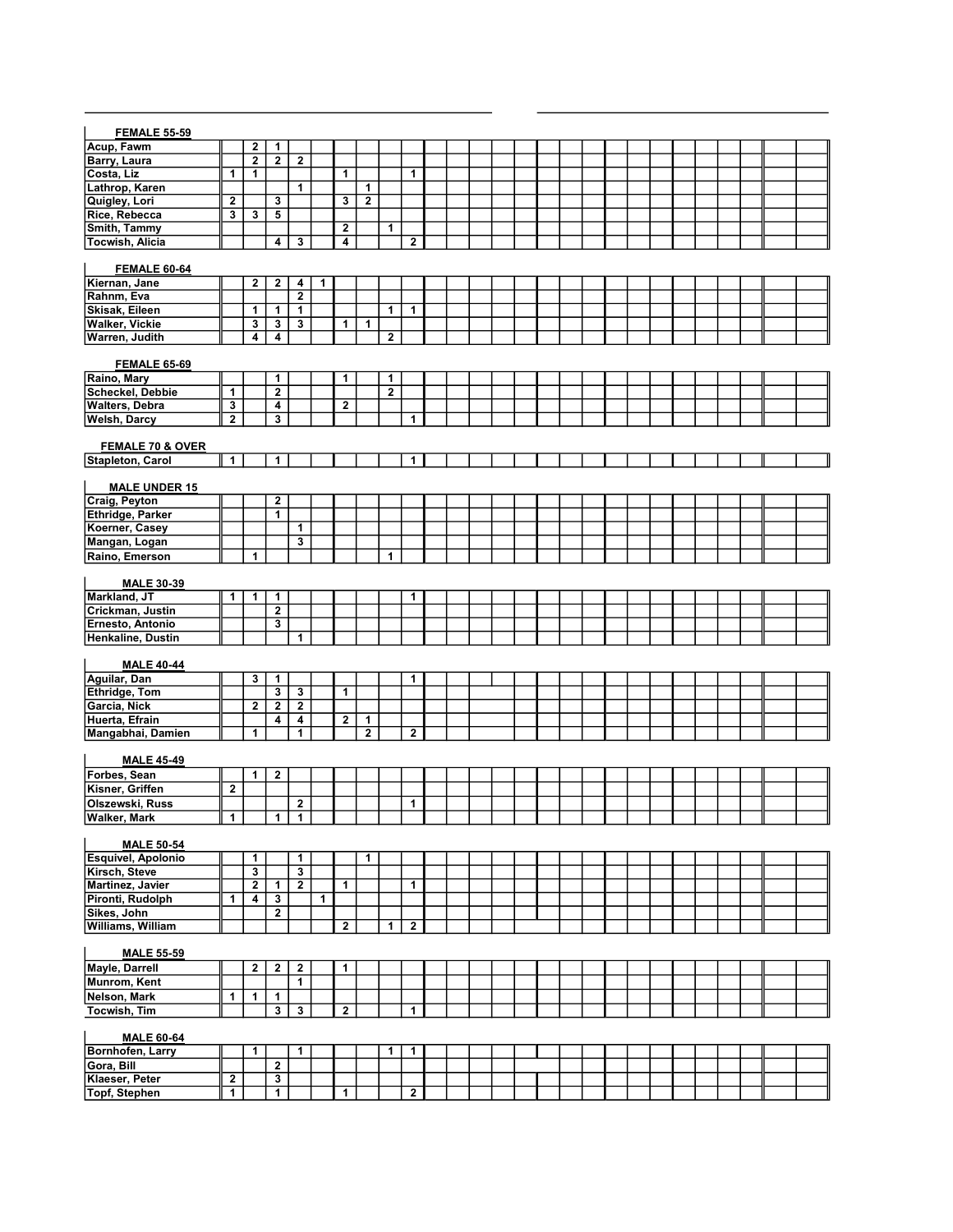| <b>FEMALE 55-59</b>                   |                         |                         |                         |                         |   |                         |                |              |                         |  |  |  |  |  |  |  |  |  |
|---------------------------------------|-------------------------|-------------------------|-------------------------|-------------------------|---|-------------------------|----------------|--------------|-------------------------|--|--|--|--|--|--|--|--|--|
| Acup, Fawm                            |                         | $\mathbf{2}$            | 1                       |                         |   |                         |                |              |                         |  |  |  |  |  |  |  |  |  |
| Barry, Laura                          |                         | $\overline{2}$          | $\overline{2}$          | $\mathbf{2}$            |   |                         |                |              |                         |  |  |  |  |  |  |  |  |  |
| Costa, Liz                            | $\overline{1}$          | 1                       |                         |                         |   | 1                       |                |              | 1                       |  |  |  |  |  |  |  |  |  |
| Lathrop, Karen                        |                         |                         |                         | $\mathbf{1}$            |   |                         | 1              |              |                         |  |  |  |  |  |  |  |  |  |
| Quigley, Lori                         | $\mathbf{2}$            |                         | 3                       |                         |   | 3                       | $\overline{2}$ |              |                         |  |  |  |  |  |  |  |  |  |
| Rice, Rebecca                         | 3                       | 3                       | 5                       |                         |   |                         |                |              |                         |  |  |  |  |  |  |  |  |  |
| Smith, Tammy                          |                         |                         |                         |                         |   | $\overline{\mathbf{2}}$ |                | 1            |                         |  |  |  |  |  |  |  |  |  |
| Tocwish, Alicia                       |                         |                         | $\overline{4}$          | 3                       |   | 4                       |                |              | $\mathbf{2}$            |  |  |  |  |  |  |  |  |  |
|                                       |                         |                         |                         |                         |   |                         |                |              |                         |  |  |  |  |  |  |  |  |  |
| <b>FEMALE 60-64</b><br>Kiernan, Jane  |                         | $\mathbf{2}$            | $\mathbf{2}$            | 4                       | 1 |                         |                |              |                         |  |  |  |  |  |  |  |  |  |
| Rahnm, Eva                            |                         |                         |                         | $\mathbf{2}$            |   |                         |                |              |                         |  |  |  |  |  |  |  |  |  |
| Skisak, Eileen                        |                         | 1                       | 1                       | 1                       |   |                         |                | $\mathbf{1}$ | 1                       |  |  |  |  |  |  |  |  |  |
| <b>Walker, Vickie</b>                 |                         | 3                       | $\overline{\mathbf{3}}$ | $\overline{\mathbf{3}}$ |   | 1                       | 1              |              |                         |  |  |  |  |  |  |  |  |  |
| <b>Warren, Judith</b>                 |                         | $\overline{4}$          | $\overline{4}$          |                         |   |                         |                | $\mathbf{2}$ |                         |  |  |  |  |  |  |  |  |  |
|                                       |                         |                         |                         |                         |   |                         |                |              |                         |  |  |  |  |  |  |  |  |  |
| <b>FEMALE 65-69</b>                   |                         |                         |                         |                         |   |                         |                |              |                         |  |  |  |  |  |  |  |  |  |
| Raino, Mary                           |                         |                         | 1                       |                         |   | 1                       |                | 1            |                         |  |  |  |  |  |  |  |  |  |
| <b>Scheckel, Debbie</b>               | $\mathbf{1}$            |                         | $\overline{2}$          |                         |   |                         |                | $\mathbf 2$  |                         |  |  |  |  |  |  |  |  |  |
| <b>Walters, Debra</b>                 | 3                       |                         | 4                       |                         |   | $\overline{\mathbf{2}}$ |                |              |                         |  |  |  |  |  |  |  |  |  |
| <b>Welsh, Darcy</b>                   | $\overline{2}$          |                         | $\overline{\mathbf{3}}$ |                         |   |                         |                |              | 1                       |  |  |  |  |  |  |  |  |  |
|                                       |                         |                         |                         |                         |   |                         |                |              |                         |  |  |  |  |  |  |  |  |  |
| <b>FEMALE 70 &amp; OVER</b>           | $\mathbf{1}$            |                         | $\mathbf{1}$            |                         |   |                         |                |              | 1                       |  |  |  |  |  |  |  |  |  |
| Stapleton, Carol                      |                         |                         |                         |                         |   |                         |                |              |                         |  |  |  |  |  |  |  |  |  |
| <b>MALE UNDER 15</b>                  |                         |                         |                         |                         |   |                         |                |              |                         |  |  |  |  |  |  |  |  |  |
| Craig, Peyton                         |                         |                         | $\mathbf{2}$            |                         |   |                         |                |              |                         |  |  |  |  |  |  |  |  |  |
| Ethridge, Parker                      |                         |                         | $\overline{1}$          |                         |   |                         |                |              |                         |  |  |  |  |  |  |  |  |  |
| Koerner, Casey                        |                         |                         |                         | 1                       |   |                         |                |              |                         |  |  |  |  |  |  |  |  |  |
| Mangan, Logan                         |                         |                         |                         | 3                       |   |                         |                |              |                         |  |  |  |  |  |  |  |  |  |
| Raino, Emerson                        |                         | 1                       |                         |                         |   |                         |                | 1            |                         |  |  |  |  |  |  |  |  |  |
|                                       |                         |                         |                         |                         |   |                         |                |              |                         |  |  |  |  |  |  |  |  |  |
| <b>MALE 30-39</b>                     |                         |                         |                         |                         |   |                         |                |              |                         |  |  |  |  |  |  |  |  |  |
| Markland, JT                          | 1                       | 1                       | 1                       |                         |   |                         |                |              | 1                       |  |  |  |  |  |  |  |  |  |
| Crickman, Justin                      |                         |                         | $\mathbf{2}$            |                         |   |                         |                |              |                         |  |  |  |  |  |  |  |  |  |
| Ernesto, Antonio                      |                         |                         | $\overline{\mathbf{3}}$ | 1                       |   |                         |                |              |                         |  |  |  |  |  |  |  |  |  |
| Henkaline, Dustin                     |                         |                         |                         |                         |   |                         |                |              |                         |  |  |  |  |  |  |  |  |  |
| <b>MALE 40-44</b>                     |                         |                         |                         |                         |   |                         |                |              |                         |  |  |  |  |  |  |  |  |  |
| Aguilar, Dan                          |                         | 3                       | $\mathbf{1}$            |                         |   |                         |                |              | 1                       |  |  |  |  |  |  |  |  |  |
| Ethridge, Tom                         |                         |                         | $\overline{\mathbf{3}}$ | 3                       |   | 1                       |                |              |                         |  |  |  |  |  |  |  |  |  |
| Garcia, Nick                          |                         | $\overline{2}$          | $\overline{2}$          | $\overline{2}$          |   |                         |                |              |                         |  |  |  |  |  |  |  |  |  |
| Huerta, Efrain                        |                         |                         | $\overline{4}$          | 4                       |   | $\mathbf{2}$            | 1              |              |                         |  |  |  |  |  |  |  |  |  |
| Mangabhai, Damien                     |                         | $\mathbf{1}$            |                         | 1                       |   |                         | $\overline{2}$ |              | $\overline{\mathbf{2}}$ |  |  |  |  |  |  |  |  |  |
|                                       |                         |                         |                         |                         |   |                         |                |              |                         |  |  |  |  |  |  |  |  |  |
| <b>MALE 45-49</b>                     |                         |                         |                         |                         |   |                         |                |              |                         |  |  |  |  |  |  |  |  |  |
| Forbes, Sean                          |                         | 1                       | $\mathbf{2}$            |                         |   |                         |                |              |                         |  |  |  |  |  |  |  |  |  |
| Kisner, Griffen                       | $\bf 2$                 |                         |                         |                         |   |                         |                |              |                         |  |  |  |  |  |  |  |  |  |
| Olszewski, Russ                       |                         |                         |                         | $\mathbf{2}$            |   |                         |                |              | 1                       |  |  |  |  |  |  |  |  |  |
| Walker, Mark                          | -1                      |                         | 1 <sup>1</sup>          | 1                       |   |                         |                |              |                         |  |  |  |  |  |  |  |  |  |
| <b>MALE 50-54</b>                     |                         |                         |                         |                         |   |                         |                |              |                         |  |  |  |  |  |  |  |  |  |
| Esquivel, Apolonio                    |                         | 1                       |                         | 1                       |   |                         | 1              |              |                         |  |  |  |  |  |  |  |  |  |
| Kirsch, Steve                         |                         | $\overline{\mathbf{3}}$ |                         | $\overline{\mathbf{3}}$ |   |                         |                |              |                         |  |  |  |  |  |  |  |  |  |
| Martinez, Javier                      |                         | $\overline{2}$          | $\mathbf{1}$            | $\overline{2}$          |   | 1                       |                |              | 1                       |  |  |  |  |  |  |  |  |  |
| Pironti, Rudolph                      | 1                       | 4                       | 3                       |                         | 1 |                         |                |              |                         |  |  |  |  |  |  |  |  |  |
| Sikes, John                           |                         |                         | $\overline{2}$          |                         |   |                         |                |              |                         |  |  |  |  |  |  |  |  |  |
| <b>Williams, William</b>              |                         |                         |                         |                         |   | $\overline{2}$          |                | 1            | $\overline{2}$          |  |  |  |  |  |  |  |  |  |
|                                       |                         |                         |                         |                         |   |                         |                |              |                         |  |  |  |  |  |  |  |  |  |
| <b>MALE 55-59</b>                     |                         |                         |                         |                         |   |                         |                |              |                         |  |  |  |  |  |  |  |  |  |
| Mayle, Darrell                        |                         | $\mathbf{2}$            | $\mathbf{2}$            | $\mathbf{2}$            |   | 1                       |                |              |                         |  |  |  |  |  |  |  |  |  |
| Munrom, Kent                          |                         |                         |                         | $\overline{1}$          |   |                         |                |              |                         |  |  |  |  |  |  |  |  |  |
| Nelson, Mark                          | $\mathbf{1}$            | $\mathbf{1}$            | $\mathbf{1}$            |                         |   |                         |                |              |                         |  |  |  |  |  |  |  |  |  |
| Tocwish, Tim                          |                         |                         | 3                       | $\overline{\mathbf{3}}$ |   | $\mathbf{2}$            |                |              | $\mathbf{1}$            |  |  |  |  |  |  |  |  |  |
|                                       |                         |                         |                         |                         |   |                         |                |              |                         |  |  |  |  |  |  |  |  |  |
| <b>MALE 60-64</b><br>Bornhofen, Larry |                         | 1                       |                         | 1                       |   |                         |                | 1            | 1                       |  |  |  |  |  |  |  |  |  |
| Gora, Bill                            |                         |                         | $\mathbf{2}$            |                         |   |                         |                |              |                         |  |  |  |  |  |  |  |  |  |
| Klaeser, Peter                        | $\overline{2}$          |                         | $\overline{\mathbf{3}}$ |                         |   |                         |                |              |                         |  |  |  |  |  |  |  |  |  |
| Topf, Stephen                         | $\overline{\mathbf{1}}$ |                         | $\mathbf{1}$            |                         |   | $\mathbf{1}$            |                |              | $\overline{2}$          |  |  |  |  |  |  |  |  |  |
|                                       |                         |                         |                         |                         |   |                         |                |              |                         |  |  |  |  |  |  |  |  |  |